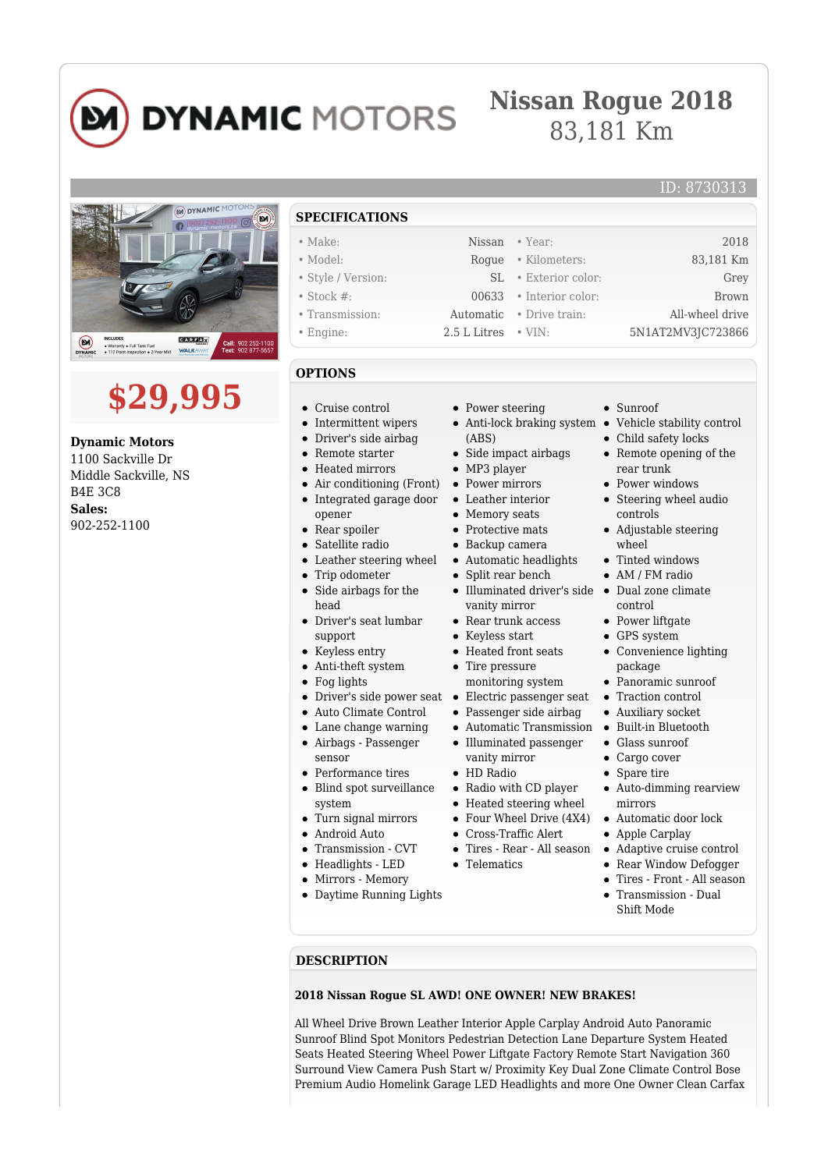# **DYNAMIC MOTORS**

### **Nissan Rogue 2018** 83,181 Km



## **\$29,995**

**Dynamic Motors** 1100 Sackville Dr Middle Sackville, NS B4E 3C8 **Sales:** 902-252-1100

#### **SPECIFICATIONS**

- 
- 
- 
- 
- 
- 

#### **OPTIONS**

- Cruise control
- Intermittent wipers
- Driver's side airbag  $\bullet$
- $\blacksquare$ Remote starter
- Heated mirrors
- Air conditioning (Front)
- Integrated garage door  $\bullet$
- opener  $\blacksquare$
- Rear spoiler
- Satellite radio Leather steering wheel  $\bullet$
- Trip odometer  $\bullet$
- Side airbags for the  $\bullet$
- head Driver's seat lumbar
- support
- Keyless entry
- Anti-theft system
- Fog lights
- 
- Auto Climate Control
- Lane change warning  $\bullet$
- Airbags Passenger  $\bullet$ sensor
- Performance tires
- Blind spot surveillance system
- Turn signal mirrors
- Android Auto
- Transmission CVT
- $\blacksquare$ Headlights - LED
- Mirrors Memory  $\bullet$
- Daytime Running Lights
- Power steering
- Anti-lock braking system Vehicle stability control (ABS)
- Side impact airbags
- MP3 player
- Power mirrors
- Leather interior
- Memory seats  $\bullet$
- Protective mats
- Backup camera
- Automatic headlights
- Split rear bench
- Illuminated driver's side Dual zone climate vanity mirror
- Rear trunk access
- Keyless start
- Heated front seats
- Tire pressure
- monitoring system
- Driver's side power seat Electric passenger seat
	- Passenger side airbag
	- Automatic Transmission Built-in Bluetooth
	- Illuminated passenger vanity mirror
	- HD Radio
	- Radio with CD player
	- Heated steering wheel
	- Four Wheel Drive (4X4)
	- Cross-Traffic Alert
	- Tires Rear All season
	- Telematics
- Adaptive cruise control Rear Window Defogger  $\bullet$
- Tires Front All season Transmission - Dual
- Shift Mode

#### **DESCRIPTION**

#### **2018 Nissan Rogue SL AWD! ONE OWNER! NEW BRAKES!**

All Wheel Drive Brown Leather Interior Apple Carplay Android Auto Panoramic Sunroof Blind Spot Monitors Pedestrian Detection Lane Departure System Heated Seats Heated Steering Wheel Power Liftgate Factory Remote Start Navigation 360 Surround View Camera Push Start w/ Proximity Key Dual Zone Climate Control Bose Premium Audio Homelink Garage LED Headlights and more One Owner Clean Carfax

• Make: Nissan • Year: 2018 • Model: Rogue • Kilometers: 83,181 Km • Style / Version: SL • Exterior color: Grey • Stock #: 00633 • Interior color: Brown • Transmission: Automatic • Drive train: All-wheel drive • Engine: 2.5 L Litres • VIN: 5N1AT2MV3JC723866

- $\epsilon$  Sunroof
- 

ID: 8730313

- Child safety locks
- Remote opening of the rear trunk
- Power windows
- Steering wheel audio controls
- Adjustable steering wheel
- Tinted windows
- AM / FM radio
- control
- Power liftgate
- GPS system
- Convenience lighting package
- Panoramic sunroof
- Traction control
- Auxiliary socket
- 
- Glass sunroof
- Cargo cover
- Spare tire
- Auto-dimming rearview mirrors
- Automatic door lock Apple Carplay